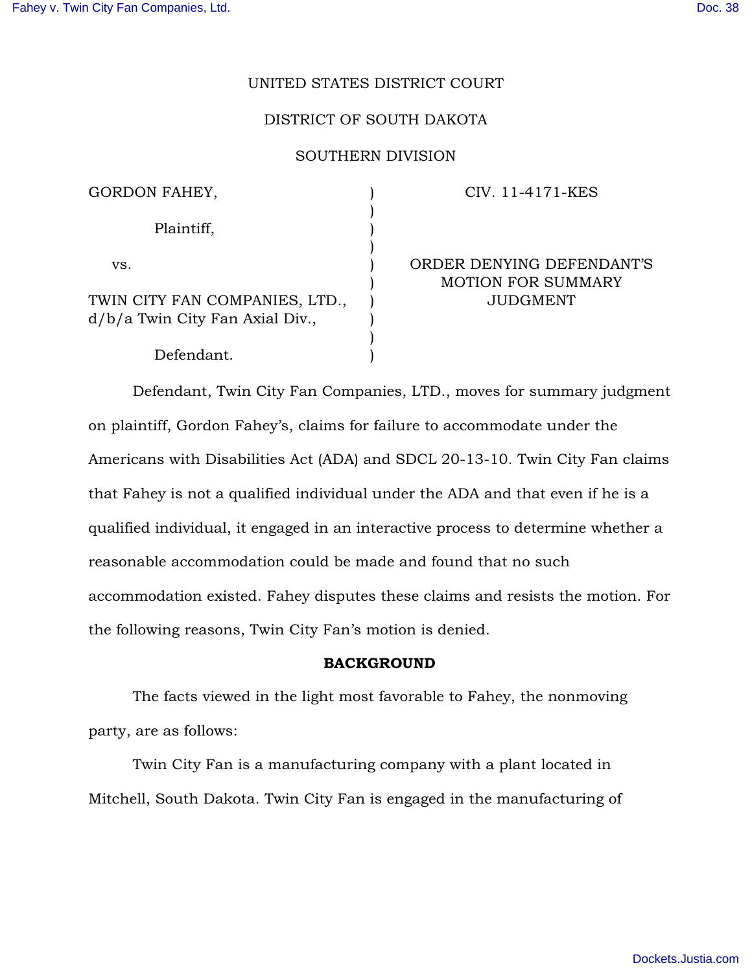# UNITED STATES DISTRICT COURT

# DISTRICT OF SOUTH DAKOTA

## SOUTHERN DIVISION

| GORDON FAHEY,                                                     |  |
|-------------------------------------------------------------------|--|
| Plaintiff,                                                        |  |
| VS.                                                               |  |
| TWIN CITY FAN COMPANIES, LTD.,<br>d/b/a Twin City Fan Axial Div., |  |
| Defendant.                                                        |  |

### CIV. 11-4171-KES

# ORDER DENYING DEFENDANT'S MOTION FOR SUMMARY JUDGMENT

Defendant, Twin City Fan Companies, LTD., moves for summary judgment on plaintiff, Gordon Fahey's, claims for failure to accommodate under the Americans with Disabilities Act (ADA) and SDCL 20-13-10. Twin City Fan claims that Fahey is not a qualified individual under the ADA and that even if he is a qualified individual, it engaged in an interactive process to determine whether a reasonable accommodation could be made and found that no such accommodation existed. Fahey disputes these claims and resists the motion. For the following reasons, Twin City Fan's motion is denied.

### BACKGROUND

The facts viewed in the light most favorable to Fahey, the nonmoving party, are as follows:

Twin City Fan is a manufacturing company with a plant located in Mitchell, South Dakota. Twin City Fan is engaged in the manufacturing of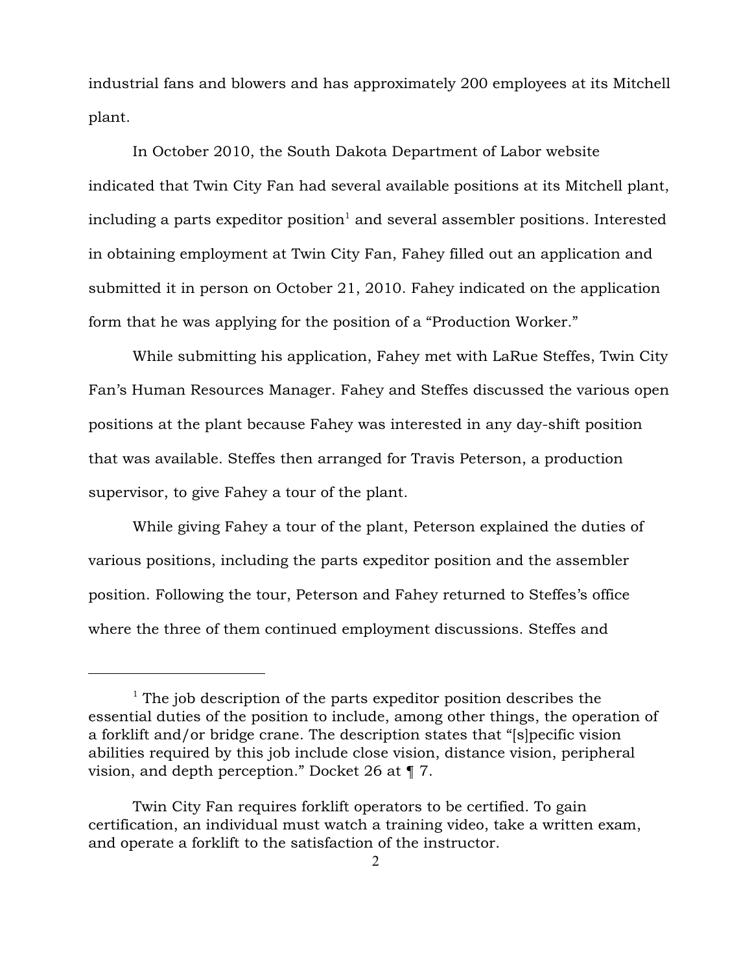industrial fans and blowers and has approximately 200 employees at its Mitchell plant.

In October 2010, the South Dakota Department of Labor website indicated that Twin City Fan had several available positions at its Mitchell plant, including a parts expeditor position<sup>1</sup> and several assembler positions. Interested in obtaining employment at Twin City Fan, Fahey filled out an application and submitted it in person on October 21, 2010. Fahey indicated on the application form that he was applying for the position of a "Production Worker."

While submitting his application, Fahey met with LaRue Steffes, Twin City Fan's Human Resources Manager. Fahey and Steffes discussed the various open positions at the plant because Fahey was interested in any day-shift position that was available. Steffes then arranged for Travis Peterson, a production supervisor, to give Fahey a tour of the plant.

While giving Fahey a tour of the plant, Peterson explained the duties of various positions, including the parts expeditor position and the assembler position. Following the tour, Peterson and Fahey returned to Steffes's office where the three of them continued employment discussions. Steffes and

 $1$  The job description of the parts expeditor position describes the essential duties of the position to include, among other things, the operation of a forklift and/or bridge crane. The description states that "[s]pecific vision abilities required by this job include close vision, distance vision, peripheral vision, and depth perception." Docket 26 at ¶ 7.

Twin City Fan requires forklift operators to be certified. To gain certification, an individual must watch a training video, take a written exam, and operate a forklift to the satisfaction of the instructor.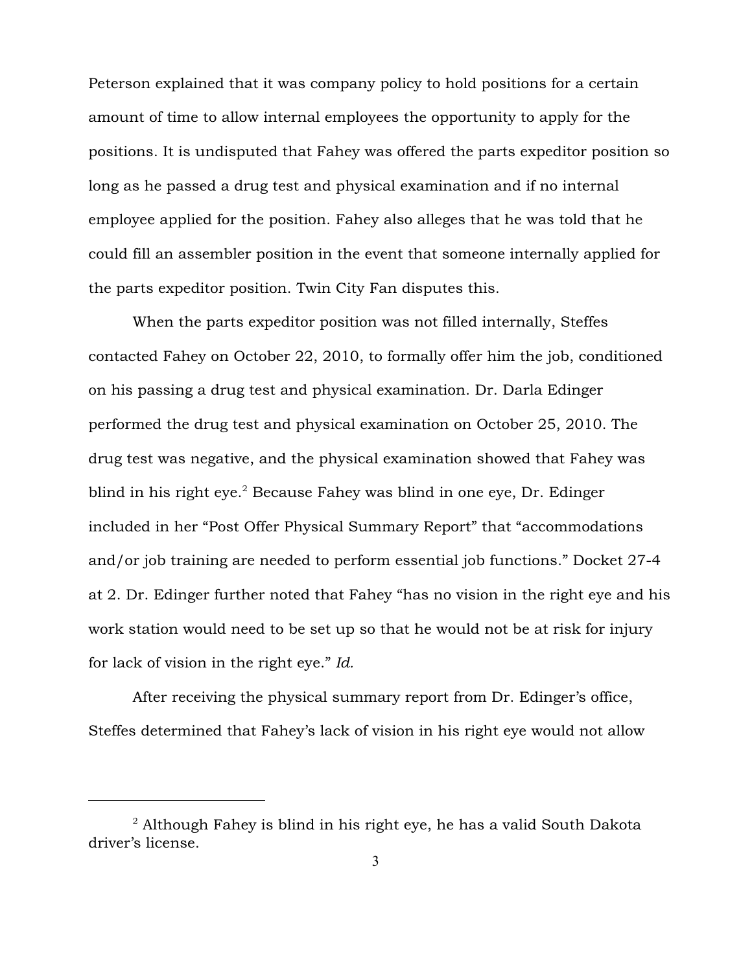Peterson explained that it was company policy to hold positions for a certain amount of time to allow internal employees the opportunity to apply for the positions. It is undisputed that Fahey was offered the parts expeditor position so long as he passed a drug test and physical examination and if no internal employee applied for the position. Fahey also alleges that he was told that he could fill an assembler position in the event that someone internally applied for the parts expeditor position. Twin City Fan disputes this.

When the parts expeditor position was not filled internally, Steffes contacted Fahey on October 22, 2010, to formally offer him the job, conditioned on his passing a drug test and physical examination. Dr. Darla Edinger performed the drug test and physical examination on October 25, 2010. The drug test was negative, and the physical examination showed that Fahey was blind in his right  $eye$ . Because Fahey was blind in one eye, Dr. Edinger included in her "Post Offer Physical Summary Report" that "accommodations and/or job training are needed to perform essential job functions." Docket 27-4 at 2. Dr. Edinger further noted that Fahey "has no vision in the right eye and his work station would need to be set up so that he would not be at risk for injury for lack of vision in the right eye." *Id.* 

After receiving the physical summary report from Dr. Edinger's office, Steffes determined that Fahey's lack of vision in his right eye would not allow

 $2$  Although Fahey is blind in his right eye, he has a valid South Dakota driver's license.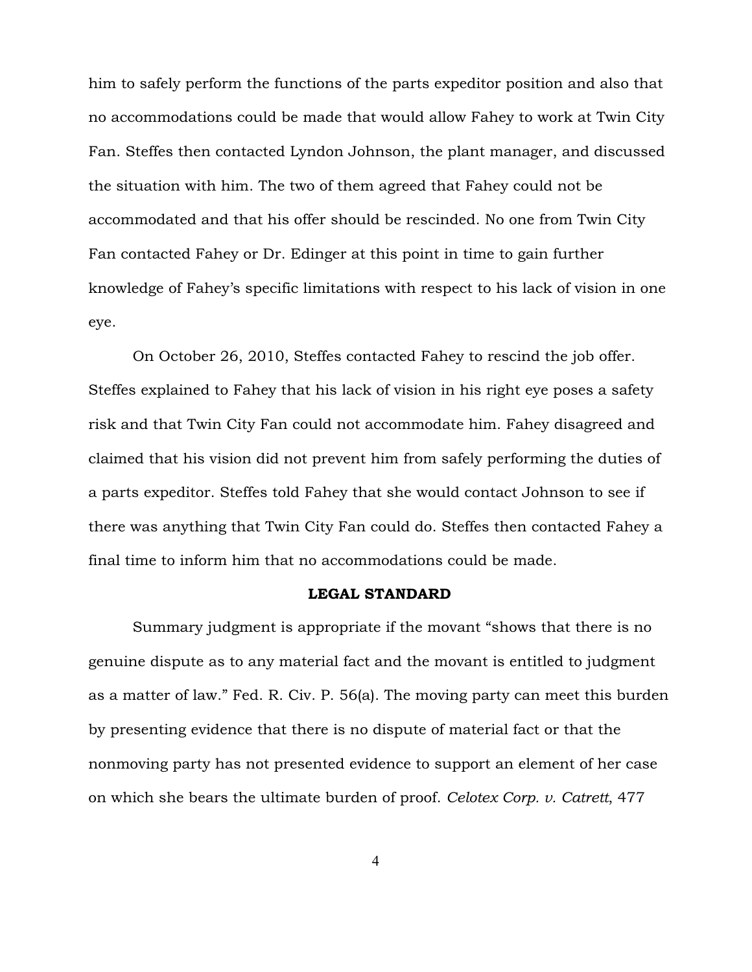him to safely perform the functions of the parts expeditor position and also that no accommodations could be made that would allow Fahey to work at Twin City Fan. Steffes then contacted Lyndon Johnson, the plant manager, and discussed the situation with him. The two of them agreed that Fahey could not be accommodated and that his offer should be rescinded. No one from Twin City Fan contacted Fahey or Dr. Edinger at this point in time to gain further knowledge of Fahey's specific limitations with respect to his lack of vision in one eye.

On October 26, 2010, Steffes contacted Fahey to rescind the job offer. Steffes explained to Fahey that his lack of vision in his right eye poses a safety risk and that Twin City Fan could not accommodate him. Fahey disagreed and claimed that his vision did not prevent him from safely performing the duties of a parts expeditor. Steffes told Fahey that she would contact Johnson to see if there was anything that Twin City Fan could do. Steffes then contacted Fahey a final time to inform him that no accommodations could be made.

#### LEGAL STANDARD

Summary judgment is appropriate if the movant "shows that there is no genuine dispute as to any material fact and the movant is entitled to judgment as a matter of law." Fed. R. Civ. P. 56(a). The moving party can meet this burden by presenting evidence that there is no dispute of material fact or that the nonmoving party has not presented evidence to support an element of her case on which she bears the ultimate burden of proof. *Celotex Corp. v. Catrett*, 477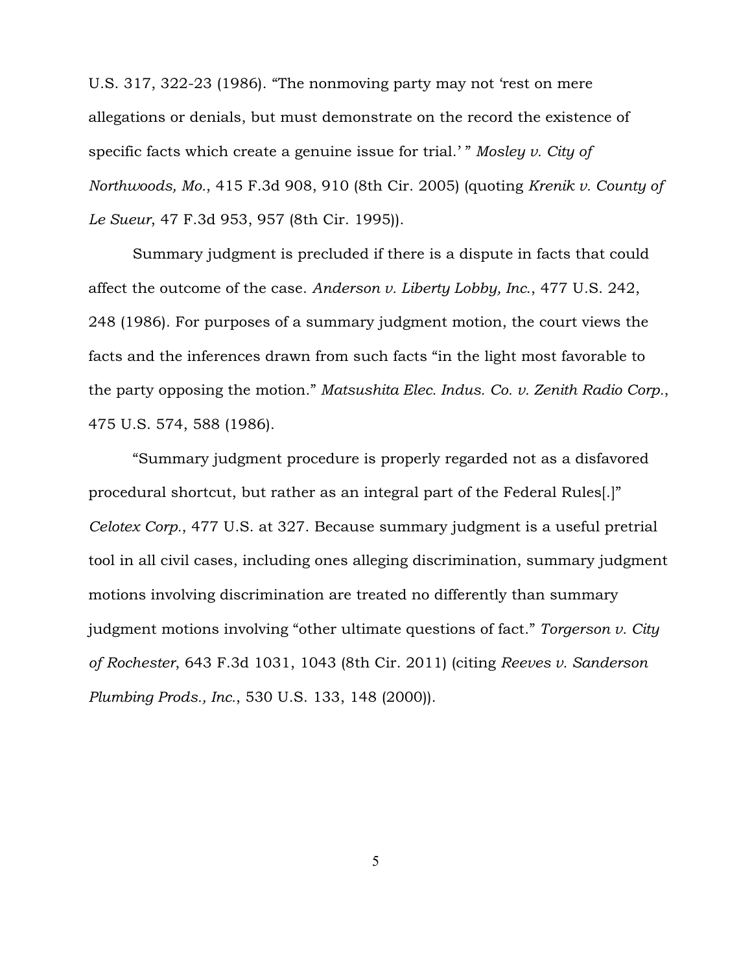U.S. 317, 322-23 (1986). "The nonmoving party may not 'rest on mere allegations or denials, but must demonstrate on the record the existence of specific facts which create a genuine issue for trial.' " *Mosley v. City of Northwoods, Mo.*, 415 F.3d 908, 910 (8th Cir. 2005) (quoting *Krenik v. County of Le Sueur*, 47 F.3d 953, 957 (8th Cir. 1995)).

Summary judgment is precluded if there is a dispute in facts that could affect the outcome of the case. *Anderson v. Liberty Lobby, Inc*., 477 U.S. 242, 248 (1986). For purposes of a summary judgment motion, the court views the facts and the inferences drawn from such facts "in the light most favorable to the party opposing the motion." *Matsushita Elec. Indus. Co. v. Zenith Radio Corp.*, 475 U.S. 574, 588 (1986).

"Summary judgment procedure is properly regarded not as a disfavored procedural shortcut, but rather as an integral part of the Federal Rules[.]" *Celotex Corp.*, 477 U.S. at 327. Because summary judgment is a useful pretrial tool in all civil cases, including ones alleging discrimination, summary judgment motions involving discrimination are treated no differently than summary judgment motions involving "other ultimate questions of fact." *Torgerson v. City of Rochester*, 643 F.3d 1031, 1043 (8th Cir. 2011) (citing *Reeves v. Sanderson Plumbing Prods., Inc.*, 530 U.S. 133, 148 (2000)).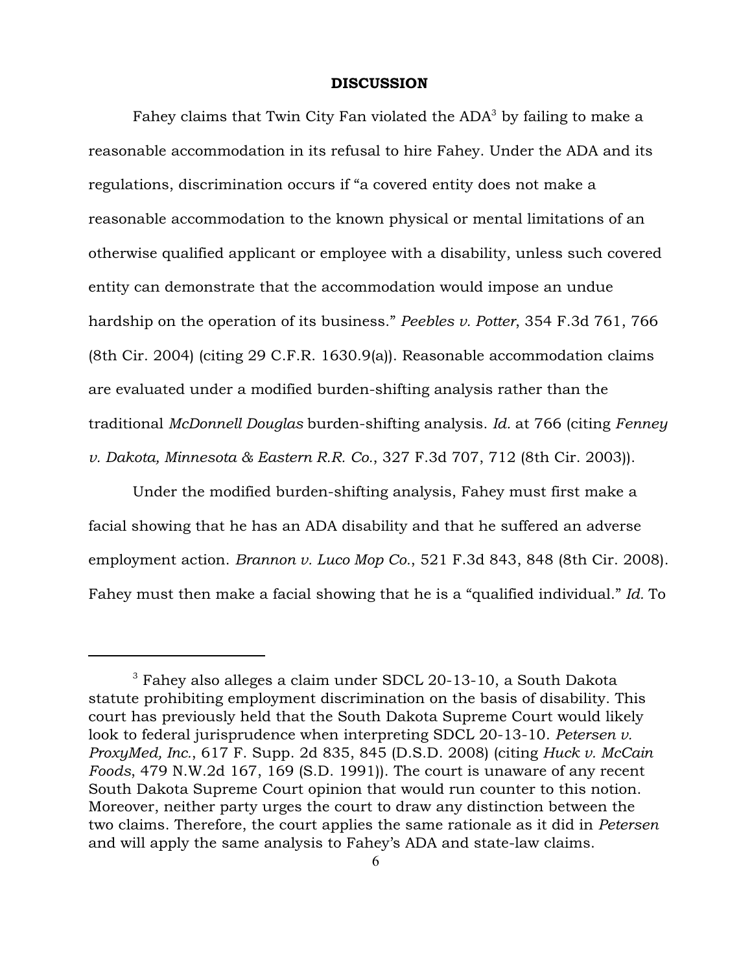#### DISCUSSION

Fahey claims that Twin City Fan violated the  $ADA^3$  by failing to make a reasonable accommodation in its refusal to hire Fahey. Under the ADA and its regulations, discrimination occurs if "a covered entity does not make a reasonable accommodation to the known physical or mental limitations of an otherwise qualified applicant or employee with a disability, unless such covered entity can demonstrate that the accommodation would impose an undue hardship on the operation of its business." *Peebles v. Potter*, 354 F.3d 761, 766 (8th Cir. 2004) (citing 29 C.F.R. 1630.9(a)). Reasonable accommodation claims are evaluated under a modified burden-shifting analysis rather than the traditional *McDonnell Douglas* burden-shifting analysis. *Id.* at 766 (citing *Fenney v. Dakota, Minnesota & Eastern R.R. Co.*, 327 F.3d 707, 712 (8th Cir. 2003)).

Under the modified burden-shifting analysis, Fahey must first make a facial showing that he has an ADA disability and that he suffered an adverse employment action. *Brannon v. Luco Mop Co.*, 521 F.3d 843, 848 (8th Cir. 2008). Fahey must then make a facial showing that he is a "qualified individual." *Id.* To

 $^3$  Fahey also alleges a claim under SDCL 20-13-10, a South Dakota statute prohibiting employment discrimination on the basis of disability. This court has previously held that the South Dakota Supreme Court would likely look to federal jurisprudence when interpreting SDCL 20-13-10. *Petersen v. ProxyMed, Inc.*, 617 F. Supp. 2d 835, 845 (D.S.D. 2008) (citing *Huck v. McCain Foods*, 479 N.W.2d 167, 169 (S.D. 1991)). The court is unaware of any recent South Dakota Supreme Court opinion that would run counter to this notion. Moreover, neither party urges the court to draw any distinction between the two claims. Therefore, the court applies the same rationale as it did in *Petersen* and will apply the same analysis to Fahey's ADA and state-law claims.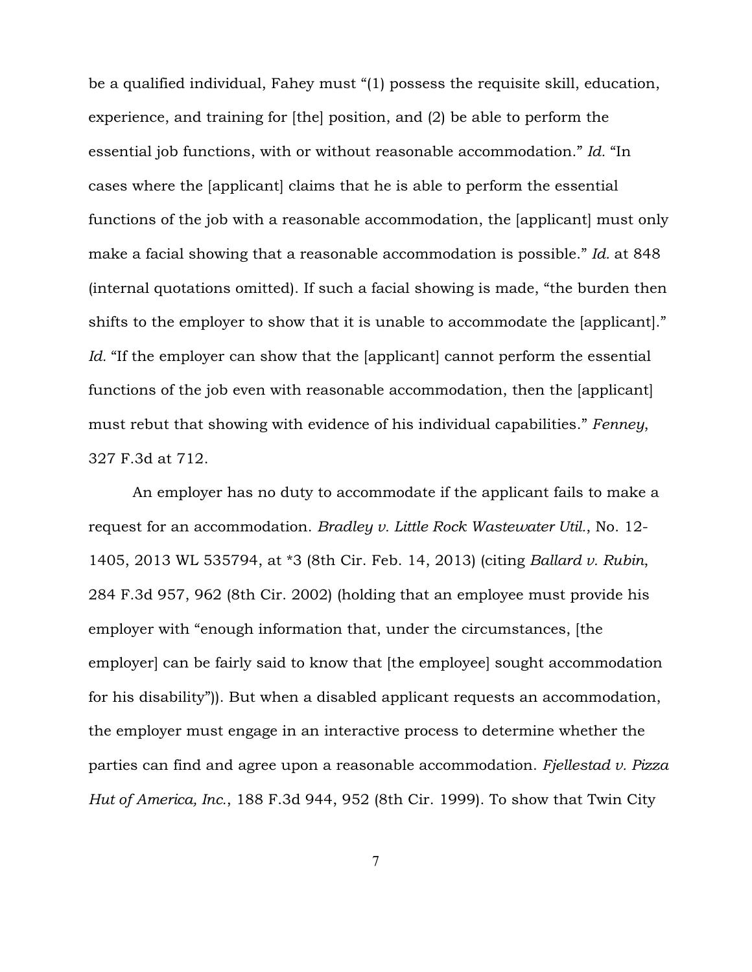be a qualified individual, Fahey must "(1) possess the requisite skill, education, experience, and training for [the] position, and (2) be able to perform the essential job functions, with or without reasonable accommodation." *Id.* "In cases where the [applicant] claims that he is able to perform the essential functions of the job with a reasonable accommodation, the [applicant] must only make a facial showing that a reasonable accommodation is possible." *Id.* at 848 (internal quotations omitted). If such a facial showing is made, "the burden then shifts to the employer to show that it is unable to accommodate the [applicant]." *Id.* "If the employer can show that the [applicant] cannot perform the essential functions of the job even with reasonable accommodation, then the [applicant] must rebut that showing with evidence of his individual capabilities." *Fenney*, 327 F.3d at 712.

An employer has no duty to accommodate if the applicant fails to make a request for an accommodation. *Bradley v. Little Rock Wastewater Util.*, No. 12- 1405, 2013 WL 535794, at \*3 (8th Cir. Feb. 14, 2013) (citing *Ballard v. Rubin*, 284 F.3d 957, 962 (8th Cir. 2002) (holding that an employee must provide his employer with "enough information that, under the circumstances, [the employer] can be fairly said to know that [the employee] sought accommodation for his disability")). But when a disabled applicant requests an accommodation, the employer must engage in an interactive process to determine whether the parties can find and agree upon a reasonable accommodation. *Fjellestad v. Pizza Hut of America, Inc.*, 188 F.3d 944, 952 (8th Cir. 1999). To show that Twin City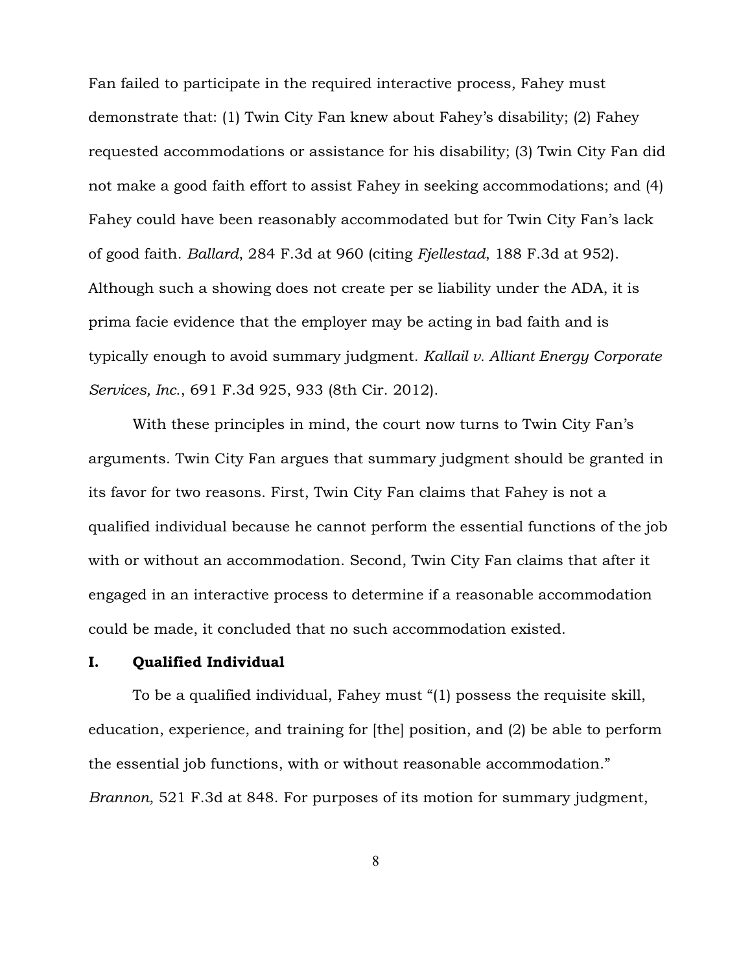Fan failed to participate in the required interactive process, Fahey must demonstrate that: (1) Twin City Fan knew about Fahey's disability; (2) Fahey requested accommodations or assistance for his disability; (3) Twin City Fan did not make a good faith effort to assist Fahey in seeking accommodations; and (4) Fahey could have been reasonably accommodated but for Twin City Fan's lack of good faith. *Ballard*, 284 F.3d at 960 (citing *Fjellestad*, 188 F.3d at 952). Although such a showing does not create per se liability under the ADA, it is prima facie evidence that the employer may be acting in bad faith and is typically enough to avoid summary judgment. *Kallail v. Alliant Energy Corporate Services, Inc*., 691 F.3d 925, 933 (8th Cir. 2012).

With these principles in mind, the court now turns to Twin City Fan's arguments. Twin City Fan argues that summary judgment should be granted in its favor for two reasons. First, Twin City Fan claims that Fahey is not a qualified individual because he cannot perform the essential functions of the job with or without an accommodation. Second, Twin City Fan claims that after it engaged in an interactive process to determine if a reasonable accommodation could be made, it concluded that no such accommodation existed.

### I. Qualified Individual

To be a qualified individual, Fahey must "(1) possess the requisite skill, education, experience, and training for [the] position, and (2) be able to perform the essential job functions, with or without reasonable accommodation." *Brannon*, 521 F.3d at 848. For purposes of its motion for summary judgment,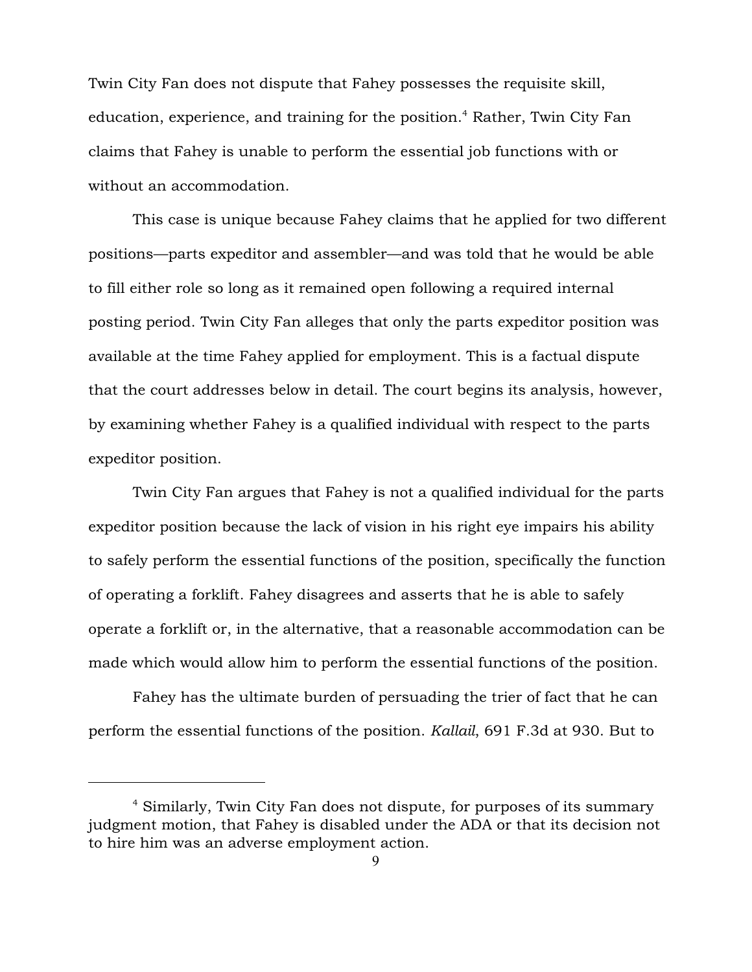Twin City Fan does not dispute that Fahey possesses the requisite skill, education, experience, and training for the position.<sup>4</sup> Rather, Twin City Fan claims that Fahey is unable to perform the essential job functions with or without an accommodation.

This case is unique because Fahey claims that he applied for two different positions—parts expeditor and assembler—and was told that he would be able to fill either role so long as it remained open following a required internal posting period. Twin City Fan alleges that only the parts expeditor position was available at the time Fahey applied for employment. This is a factual dispute that the court addresses below in detail. The court begins its analysis, however, by examining whether Fahey is a qualified individual with respect to the parts expeditor position.

Twin City Fan argues that Fahey is not a qualified individual for the parts expeditor position because the lack of vision in his right eye impairs his ability to safely perform the essential functions of the position, specifically the function of operating a forklift. Fahey disagrees and asserts that he is able to safely operate a forklift or, in the alternative, that a reasonable accommodation can be made which would allow him to perform the essential functions of the position.

Fahey has the ultimate burden of persuading the trier of fact that he can perform the essential functions of the position. *Kallail*, 691 F.3d at 930. But to

<sup>&</sup>lt;sup>4</sup> Similarly, Twin City Fan does not dispute, for purposes of its summary judgment motion, that Fahey is disabled under the ADA or that its decision not to hire him was an adverse employment action.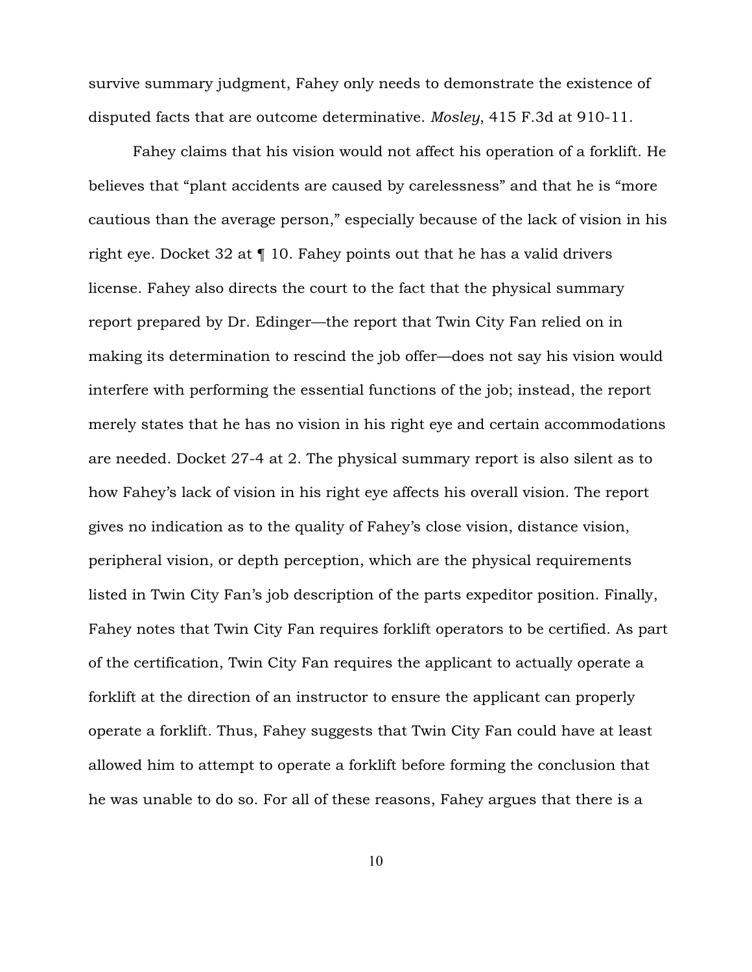survive summary judgment, Fahey only needs to demonstrate the existence of disputed facts that are outcome determinative. *Mosley*, 415 F.3d at 910-11.

Fahey claims that his vision would not affect his operation of a forklift. He believes that "plant accidents are caused by carelessness" and that he is "more cautious than the average person," especially because of the lack of vision in his right eye. Docket 32 at ¶ 10. Fahey points out that he has a valid drivers license. Fahey also directs the court to the fact that the physical summary report prepared by Dr. Edinger—the report that Twin City Fan relied on in making its determination to rescind the job offer—does not say his vision would interfere with performing the essential functions of the job; instead, the report merely states that he has no vision in his right eye and certain accommodations are needed. Docket 27-4 at 2. The physical summary report is also silent as to how Fahey's lack of vision in his right eye affects his overall vision. The report gives no indication as to the quality of Fahey's close vision, distance vision, peripheral vision, or depth perception, which are the physical requirements listed in Twin City Fan's job description of the parts expeditor position. Finally, Fahey notes that Twin City Fan requires forklift operators to be certified. As part of the certification, Twin City Fan requires the applicant to actually operate a forklift at the direction of an instructor to ensure the applicant can properly operate a forklift. Thus, Fahey suggests that Twin City Fan could have at least allowed him to attempt to operate a forklift before forming the conclusion that he was unable to do so. For all of these reasons, Fahey argues that there is a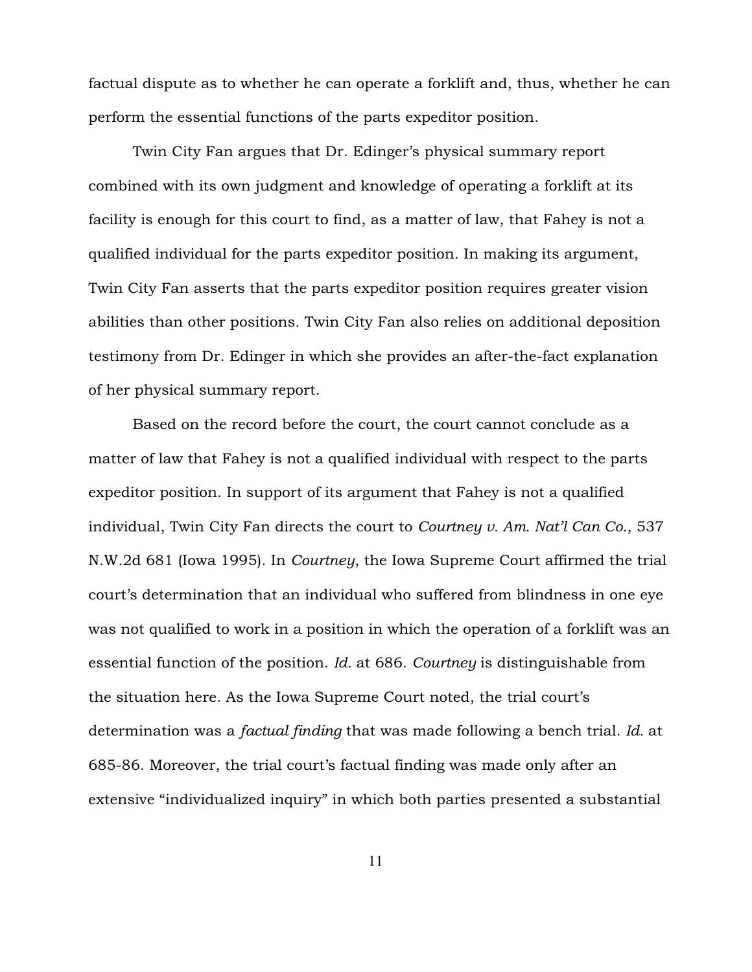factual dispute as to whether he can operate a forklift and, thus, whether he can perform the essential functions of the parts expeditor position.

Twin City Fan argues that Dr. Edinger's physical summary report combined with its own judgment and knowledge of operating a forklift at its facility is enough for this court to find, as a matter of law, that Fahey is not a qualified individual for the parts expeditor position. In making its argument, Twin City Fan asserts that the parts expeditor position requires greater vision abilities than other positions. Twin City Fan also relies on additional deposition testimony from Dr. Edinger in which she provides an after-the-fact explanation of her physical summary report.

Based on the record before the court, the court cannot conclude as a matter of law that Fahey is not a qualified individual with respect to the parts expeditor position. In support of its argument that Fahey is not a qualified individual, Twin City Fan directs the court to *Courtney v. Am. Nat'l Can Co.*, 537 N.W.2d 681 (Iowa 1995). In *Courtney*, the Iowa Supreme Court affirmed the trial court's determination that an individual who suffered from blindness in one eye was not qualified to work in a position in which the operation of a forklift was an essential function of the position. *Id.* at 686. *Courtney* is distinguishable from the situation here. As the Iowa Supreme Court noted, the trial court's determination was a *factual finding* that was made following a bench trial. *Id.* at 685-86. Moreover, the trial court's factual finding was made only after an extensive "individualized inquiry" in which both parties presented a substantial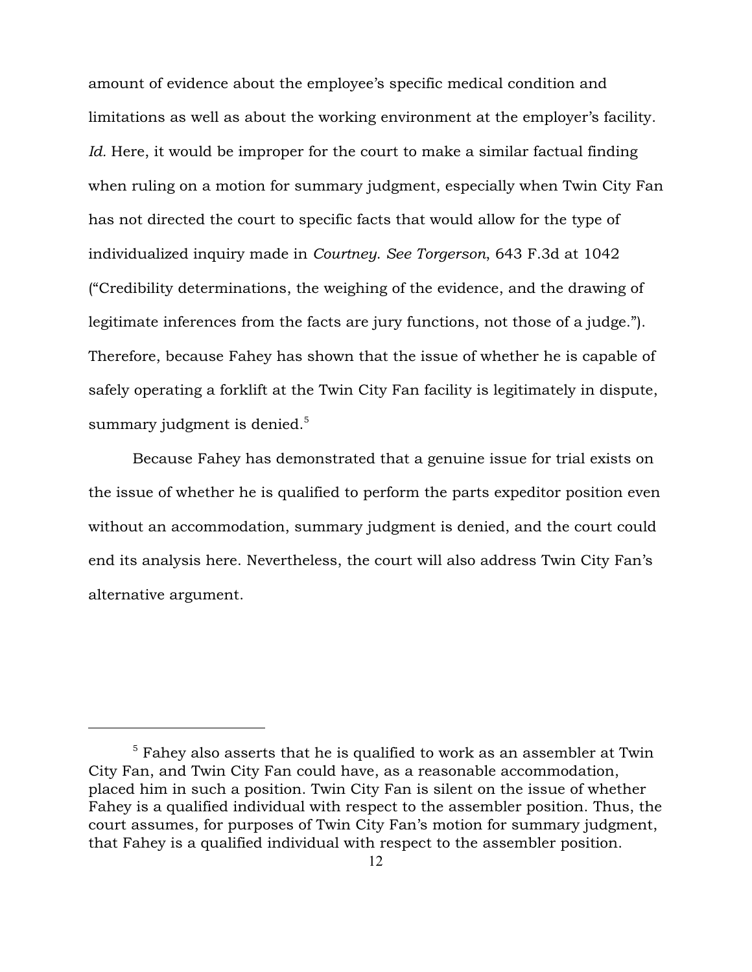amount of evidence about the employee's specific medical condition and limitations as well as about the working environment at the employer's facility. *Id.* Here, it would be improper for the court to make a similar factual finding when ruling on a motion for summary judgment, especially when Twin City Fan has not directed the court to specific facts that would allow for the type of individualized inquiry made in *Courtney*. *See Torgerson*, 643 F.3d at 1042 ("Credibility determinations, the weighing of the evidence, and the drawing of legitimate inferences from the facts are jury functions, not those of a judge."). Therefore, because Fahey has shown that the issue of whether he is capable of safely operating a forklift at the Twin City Fan facility is legitimately in dispute, summary judgment is denied. $5$ 

Because Fahey has demonstrated that a genuine issue for trial exists on the issue of whether he is qualified to perform the parts expeditor position even without an accommodation, summary judgment is denied, and the court could end its analysis here. Nevertheless, the court will also address Twin City Fan's alternative argument.

 $^{\rm 5}$  Fahey also asserts that he is qualified to work as an assembler at Twin City Fan, and Twin City Fan could have, as a reasonable accommodation, placed him in such a position. Twin City Fan is silent on the issue of whether Fahey is a qualified individual with respect to the assembler position. Thus, the court assumes, for purposes of Twin City Fan's motion for summary judgment, that Fahey is a qualified individual with respect to the assembler position.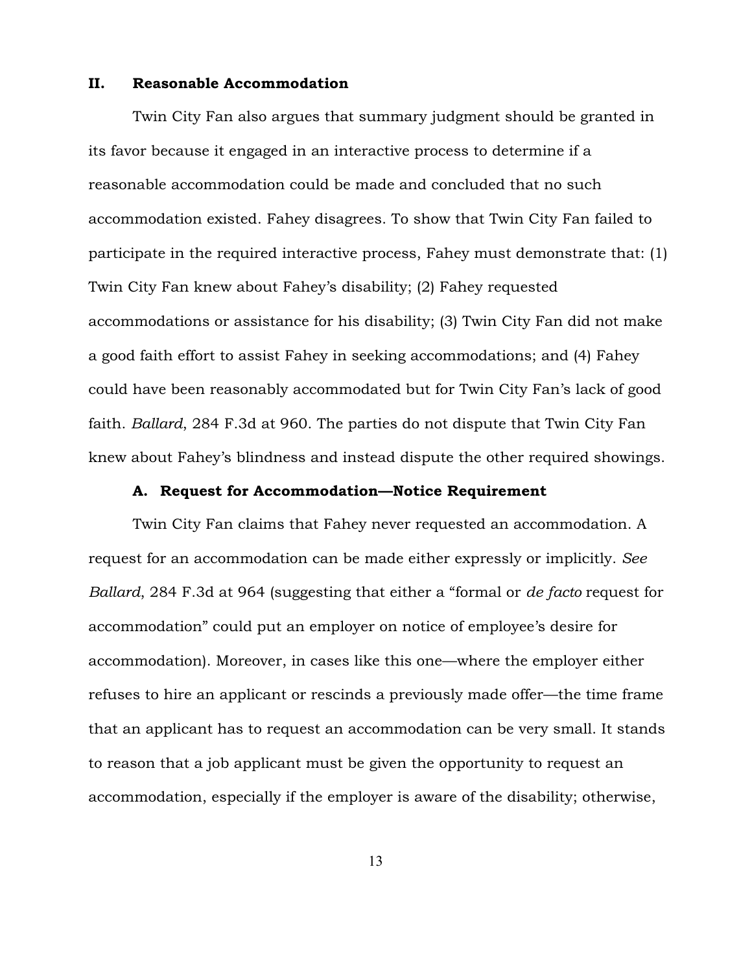### II. Reasonable Accommodation

Twin City Fan also argues that summary judgment should be granted in its favor because it engaged in an interactive process to determine if a reasonable accommodation could be made and concluded that no such accommodation existed. Fahey disagrees. To show that Twin City Fan failed to participate in the required interactive process, Fahey must demonstrate that: (1) Twin City Fan knew about Fahey's disability; (2) Fahey requested accommodations or assistance for his disability; (3) Twin City Fan did not make a good faith effort to assist Fahey in seeking accommodations; and (4) Fahey could have been reasonably accommodated but for Twin City Fan's lack of good faith. *Ballard*, 284 F.3d at 960. The parties do not dispute that Twin City Fan knew about Fahey's blindness and instead dispute the other required showings.

#### A. Request for Accommodation—Notice Requirement

Twin City Fan claims that Fahey never requested an accommodation. A request for an accommodation can be made either expressly or implicitly. *See Ballard*, 284 F.3d at 964 (suggesting that either a "formal or *de facto* request for accommodation" could put an employer on notice of employee's desire for accommodation). Moreover, in cases like this one—where the employer either refuses to hire an applicant or rescinds a previously made offer—the time frame that an applicant has to request an accommodation can be very small. It stands to reason that a job applicant must be given the opportunity to request an accommodation, especially if the employer is aware of the disability; otherwise,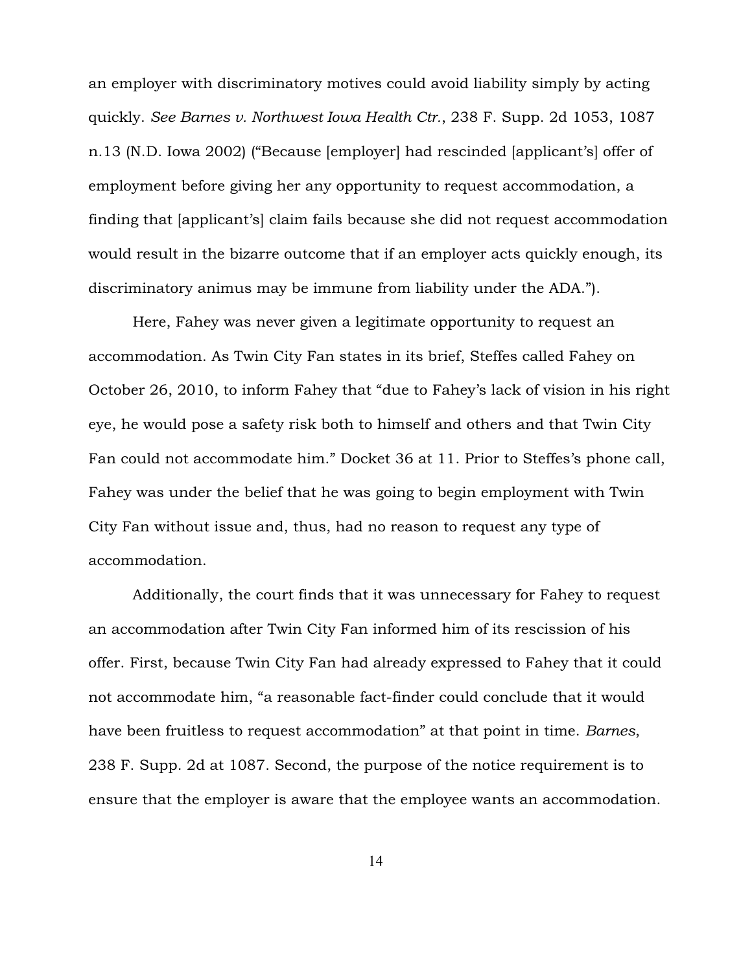an employer with discriminatory motives could avoid liability simply by acting quickly. *See Barnes v. Northwest Iowa Health Ctr.*, 238 F. Supp. 2d 1053, 1087 n.13 (N.D. Iowa 2002) ("Because [employer] had rescinded [applicant's] offer of employment before giving her any opportunity to request accommodation, a finding that [applicant's] claim fails because she did not request accommodation would result in the bizarre outcome that if an employer acts quickly enough, its discriminatory animus may be immune from liability under the ADA.").

Here, Fahey was never given a legitimate opportunity to request an accommodation. As Twin City Fan states in its brief, Steffes called Fahey on October 26, 2010, to inform Fahey that "due to Fahey's lack of vision in his right eye, he would pose a safety risk both to himself and others and that Twin City Fan could not accommodate him." Docket 36 at 11. Prior to Steffes's phone call, Fahey was under the belief that he was going to begin employment with Twin City Fan without issue and, thus, had no reason to request any type of accommodation.

Additionally, the court finds that it was unnecessary for Fahey to request an accommodation after Twin City Fan informed him of its rescission of his offer. First, because Twin City Fan had already expressed to Fahey that it could not accommodate him, "a reasonable fact-finder could conclude that it would have been fruitless to request accommodation" at that point in time. *Barnes*, 238 F. Supp. 2d at 1087. Second, the purpose of the notice requirement is to ensure that the employer is aware that the employee wants an accommodation.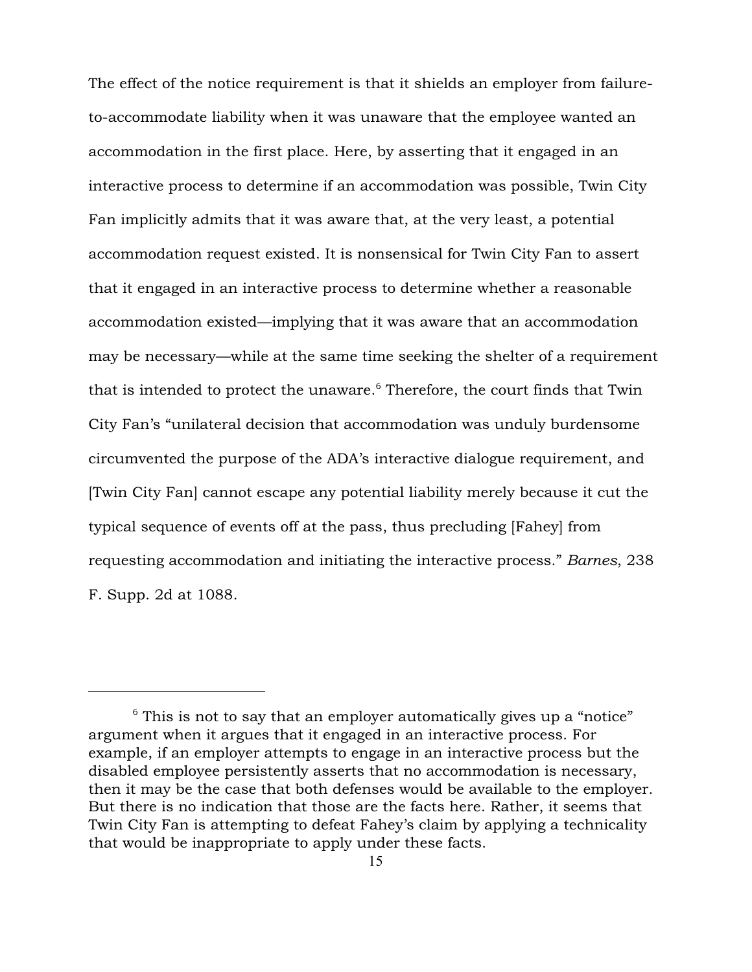The effect of the notice requirement is that it shields an employer from failureto-accommodate liability when it was unaware that the employee wanted an accommodation in the first place. Here, by asserting that it engaged in an interactive process to determine if an accommodation was possible, Twin City Fan implicitly admits that it was aware that, at the very least, a potential accommodation request existed. It is nonsensical for Twin City Fan to assert that it engaged in an interactive process to determine whether a reasonable accommodation existed—implying that it was aware that an accommodation may be necessary—while at the same time seeking the shelter of a requirement that is intended to protect the unaware.<sup> $6$ </sup> Therefore, the court finds that Twin City Fan's "unilateral decision that accommodation was unduly burdensome circumvented the purpose of the ADA's interactive dialogue requirement, and [Twin City Fan] cannot escape any potential liability merely because it cut the typical sequence of events off at the pass, thus precluding [Fahey] from requesting accommodation and initiating the interactive process." *Barnes*, 238 F. Supp. 2d at 1088.

 $6$  This is not to say that an employer automatically gives up a "notice" argument when it argues that it engaged in an interactive process. For example, if an employer attempts to engage in an interactive process but the disabled employee persistently asserts that no accommodation is necessary, then it may be the case that both defenses would be available to the employer. But there is no indication that those are the facts here. Rather, it seems that Twin City Fan is attempting to defeat Fahey's claim by applying a technicality that would be inappropriate to apply under these facts.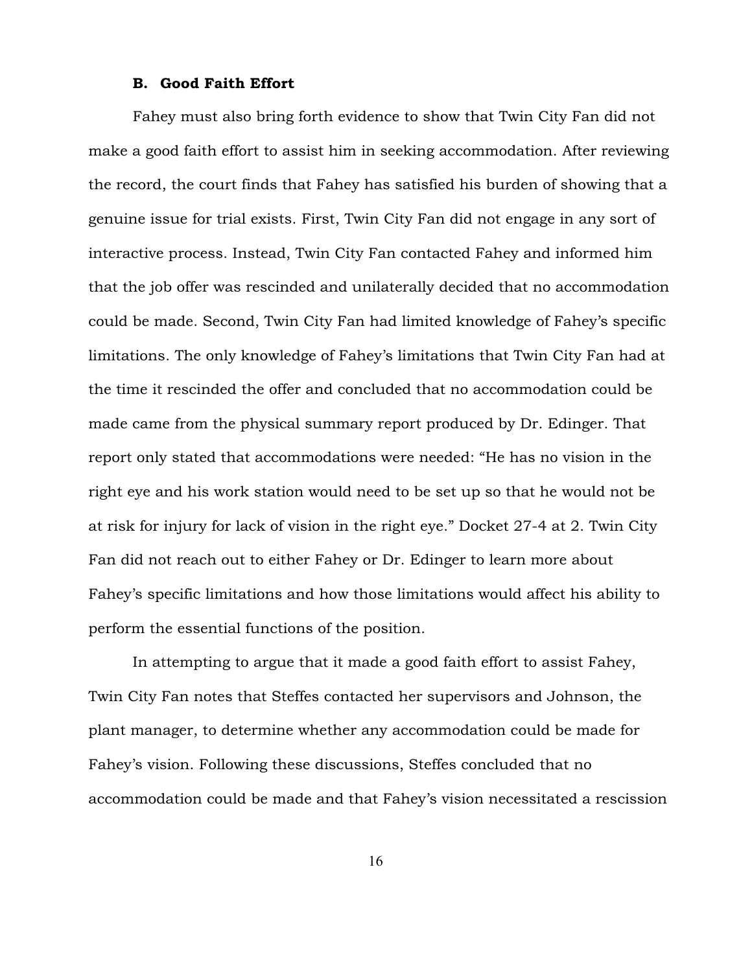#### B. Good Faith Effort

Fahey must also bring forth evidence to show that Twin City Fan did not make a good faith effort to assist him in seeking accommodation. After reviewing the record, the court finds that Fahey has satisfied his burden of showing that a genuine issue for trial exists. First, Twin City Fan did not engage in any sort of interactive process. Instead, Twin City Fan contacted Fahey and informed him that the job offer was rescinded and unilaterally decided that no accommodation could be made. Second, Twin City Fan had limited knowledge of Fahey's specific limitations. The only knowledge of Fahey's limitations that Twin City Fan had at the time it rescinded the offer and concluded that no accommodation could be made came from the physical summary report produced by Dr. Edinger. That report only stated that accommodations were needed: "He has no vision in the right eye and his work station would need to be set up so that he would not be at risk for injury for lack of vision in the right eye." Docket 27-4 at 2. Twin City Fan did not reach out to either Fahey or Dr. Edinger to learn more about Fahey's specific limitations and how those limitations would affect his ability to perform the essential functions of the position.

In attempting to argue that it made a good faith effort to assist Fahey, Twin City Fan notes that Steffes contacted her supervisors and Johnson, the plant manager, to determine whether any accommodation could be made for Fahey's vision. Following these discussions, Steffes concluded that no accommodation could be made and that Fahey's vision necessitated a rescission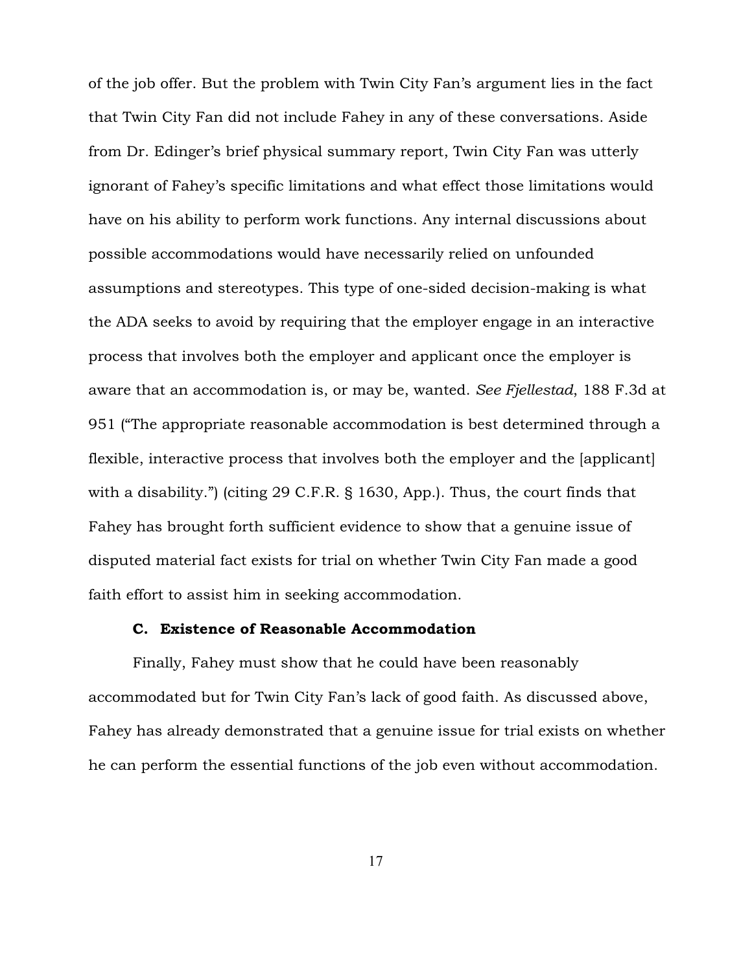of the job offer. But the problem with Twin City Fan's argument lies in the fact that Twin City Fan did not include Fahey in any of these conversations. Aside from Dr. Edinger's brief physical summary report, Twin City Fan was utterly ignorant of Fahey's specific limitations and what effect those limitations would have on his ability to perform work functions. Any internal discussions about possible accommodations would have necessarily relied on unfounded assumptions and stereotypes. This type of one-sided decision-making is what the ADA seeks to avoid by requiring that the employer engage in an interactive process that involves both the employer and applicant once the employer is aware that an accommodation is, or may be, wanted. *See Fjellestad*, 188 F.3d at 951 ("The appropriate reasonable accommodation is best determined through a flexible, interactive process that involves both the employer and the [applicant] with a disability.") (citing 29 C.F.R. § 1630, App.). Thus, the court finds that Fahey has brought forth sufficient evidence to show that a genuine issue of disputed material fact exists for trial on whether Twin City Fan made a good faith effort to assist him in seeking accommodation.

## C. Existence of Reasonable Accommodation

Finally, Fahey must show that he could have been reasonably accommodated but for Twin City Fan's lack of good faith. As discussed above, Fahey has already demonstrated that a genuine issue for trial exists on whether he can perform the essential functions of the job even without accommodation.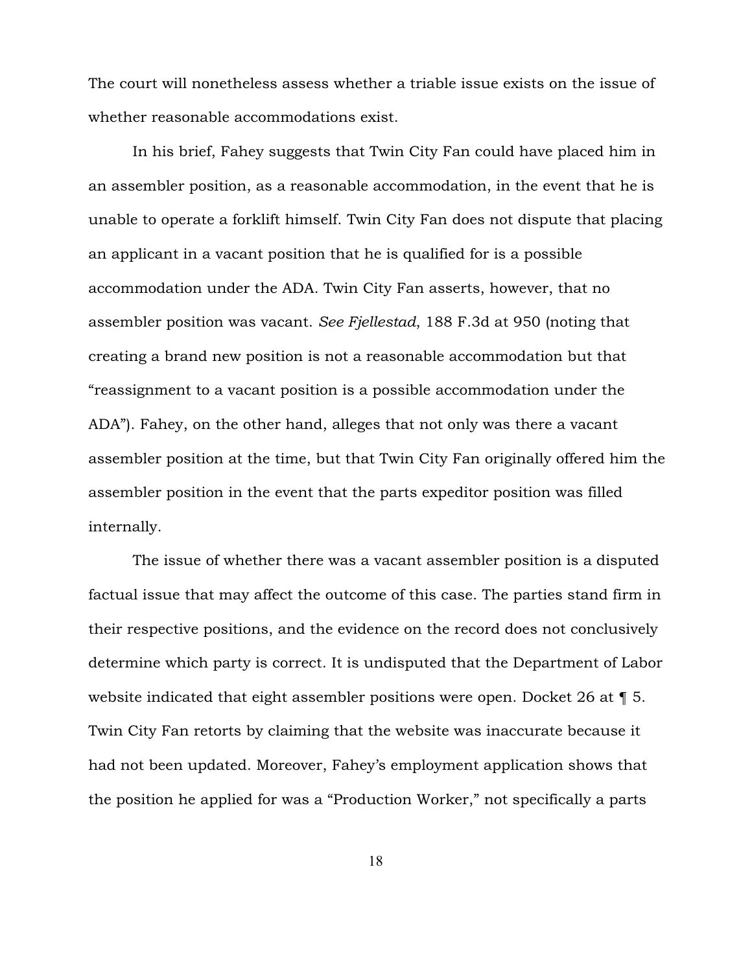The court will nonetheless assess whether a triable issue exists on the issue of whether reasonable accommodations exist.

In his brief, Fahey suggests that Twin City Fan could have placed him in an assembler position, as a reasonable accommodation, in the event that he is unable to operate a forklift himself. Twin City Fan does not dispute that placing an applicant in a vacant position that he is qualified for is a possible accommodation under the ADA. Twin City Fan asserts, however, that no assembler position was vacant. *See Fjellestad*, 188 F.3d at 950 (noting that creating a brand new position is not a reasonable accommodation but that "reassignment to a vacant position is a possible accommodation under the ADA"). Fahey, on the other hand, alleges that not only was there a vacant assembler position at the time, but that Twin City Fan originally offered him the assembler position in the event that the parts expeditor position was filled internally.

The issue of whether there was a vacant assembler position is a disputed factual issue that may affect the outcome of this case. The parties stand firm in their respective positions, and the evidence on the record does not conclusively determine which party is correct. It is undisputed that the Department of Labor website indicated that eight assembler positions were open. Docket 26 at  $\P$  5. Twin City Fan retorts by claiming that the website was inaccurate because it had not been updated. Moreover, Fahey's employment application shows that the position he applied for was a "Production Worker," not specifically a parts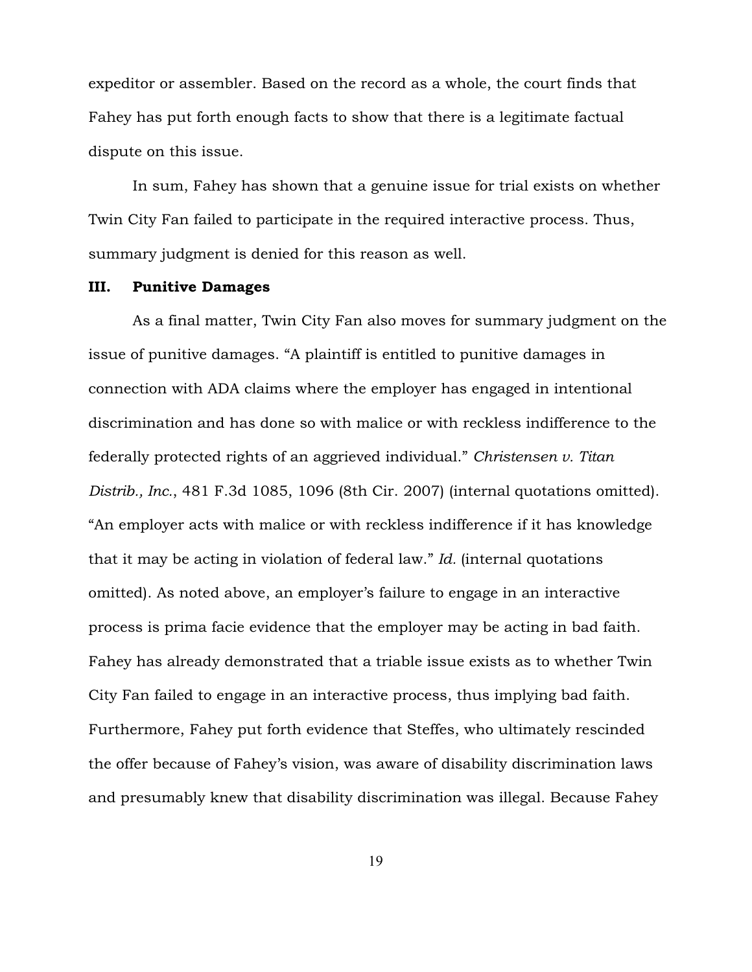expeditor or assembler. Based on the record as a whole, the court finds that Fahey has put forth enough facts to show that there is a legitimate factual dispute on this issue.

In sum, Fahey has shown that a genuine issue for trial exists on whether Twin City Fan failed to participate in the required interactive process. Thus, summary judgment is denied for this reason as well.

#### III. Punitive Damages

As a final matter, Twin City Fan also moves for summary judgment on the issue of punitive damages. "A plaintiff is entitled to punitive damages in connection with ADA claims where the employer has engaged in intentional discrimination and has done so with malice or with reckless indifference to the federally protected rights of an aggrieved individual." *Christensen v. Titan Distrib., Inc.*, 481 F.3d 1085, 1096 (8th Cir. 2007) (internal quotations omitted). "An employer acts with malice or with reckless indifference if it has knowledge that it may be acting in violation of federal law." *Id.* (internal quotations omitted). As noted above, an employer's failure to engage in an interactive process is prima facie evidence that the employer may be acting in bad faith. Fahey has already demonstrated that a triable issue exists as to whether Twin City Fan failed to engage in an interactive process, thus implying bad faith. Furthermore, Fahey put forth evidence that Steffes, who ultimately rescinded the offer because of Fahey's vision, was aware of disability discrimination laws and presumably knew that disability discrimination was illegal. Because Fahey